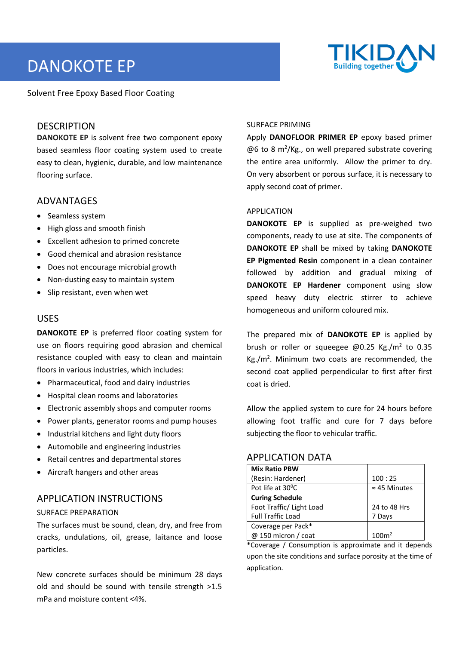# DANOKOTE EP



Solvent Free Epoxy Based Floor Coating

## **DESCRIPTION**

**DANOKOTE EP** is solvent free two component epoxy based seamless floor coating system used to create easy to clean, hygienic, durable, and low maintenance flooring surface.

## ADVANTAGES

- Seamless system
- High gloss and smooth finish
- Excellent adhesion to primed concrete
- Good chemical and abrasion resistance
- Does not encourage microbial growth
- Non-dusting easy to maintain system
- Slip resistant, even when wet

## USES

**DANOKOTE EP** is preferred floor coating system for use on floors requiring good abrasion and chemical resistance coupled with easy to clean and maintain floors in various industries, which includes:

- Pharmaceutical, food and dairy industries
- Hospital clean rooms and laboratories
- Electronic assembly shops and computer rooms
- Power plants, generator rooms and pump houses
- Industrial kitchens and light duty floors
- Automobile and engineering industries
- Retail centres and departmental stores
- Aircraft hangers and other areas

## APPLICATION INSTRUCTIONS

#### SURFACE PREPARATION

The surfaces must be sound, clean, dry, and free from cracks, undulations, oil, grease, laitance and loose particles.

New concrete surfaces should be minimum 28 days old and should be sound with tensile strength >1.5 mPa and moisture content <4%.

#### SURFACE PRIMING

Apply **DANOFLOOR PRIMER EP** epoxy based primer  $@6$  to 8 m<sup>2</sup>/Kg., on well prepared substrate covering the entire area uniformly. Allow the primer to dry. On very absorbent or porous surface, it is necessary to apply second coat of primer.

#### APPLICATION

**DANOKOTE EP** is supplied as pre-weighed two components, ready to use at site. The components of **DANOKOTE EP** shall be mixed by taking **DANOKOTE EP Pigmented Resin** component in a clean container followed by addition and gradual mixing of **DANOKOTE EP Hardener** component using slow speed heavy duty electric stirrer to achieve homogeneous and uniform coloured mix.

The prepared mix of **DANOKOTE EP** is applied by brush or roller or squeegee  $@0.25$  Kg./m<sup>2</sup> to 0.35  $Kg./m^2$ . Minimum two coats are recommended, the second coat applied perpendicular to first after first coat is dried.

Allow the applied system to cure for 24 hours before allowing foot traffic and cure for 7 days before subjecting the floor to vehicular traffic.

## APPLICATION DATA

| <b>Mix Ratio PBW</b>     |                      |
|--------------------------|----------------------|
| (Resin: Hardener)        | 100:25               |
| Pot life at 30°C         | $\approx$ 45 Minutes |
| <b>Curing Schedule</b>   |                      |
| Foot Traffic/ Light Load | 24 to 48 Hrs         |
| <b>Full Traffic Load</b> | 7 Days               |
| Coverage per Pack*       |                      |
| @ 150 micron / coat      | 100m <sup>2</sup>    |

\*Coverage / Consumption is approximate and it depends upon the site conditions and surface porosity at the time of application.